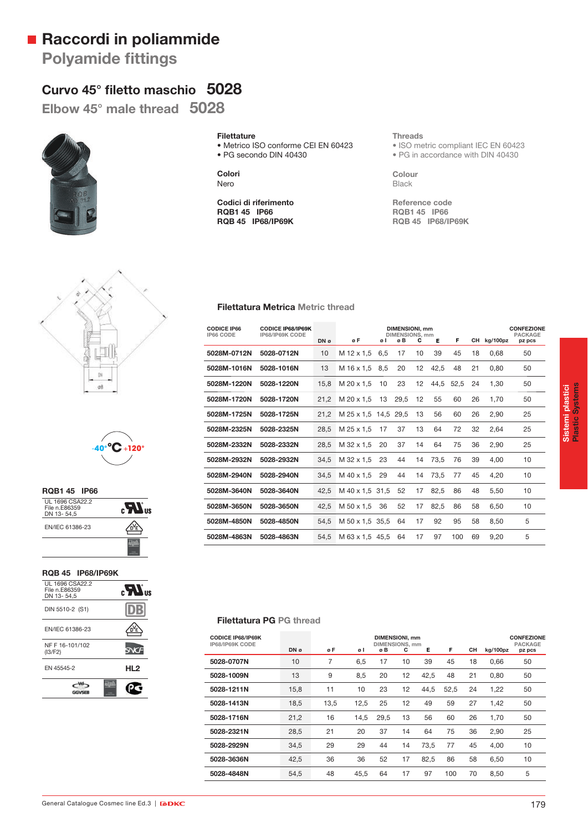## **Raccordi in poliammide**

**Polyamide fittings** 

# **Curvo 45° fi letto maschio 5028**

**Elbow 45° male thread 5028**



### **Filettature**

• Metrico ISO conforme CEI EN 60423 • PG secondo DIN 40430

**Colori** Nero

**Codici di riferimento RQB1 45 IP66 RQB 45 IP68/IP69K** **Threads**

• ISO metric compliant IEC EN 60423 • PG in accordance with DIN 40430

**Colour** Black

**Reference code RQB1 45 IP66 RQB 45 IP68/IP69K**





| <b>RQB1 45 IP66</b>                            |  |
|------------------------------------------------|--|
| UL 1696 CSA22.2<br>File n.E86359<br>DN 13-54,5 |  |
| EN/IEC 61386-23                                |  |
|                                                |  |

### **RQB 45 IP68/IP69K**

| UL 1696 CSA22.2<br>File n.E86359<br>DN 13-54.5 | $\epsilon$ <b>N</b> <sub>18</sub> |
|------------------------------------------------|-----------------------------------|
| DIN 5510-2 (S1)                                |                                   |
| EN/IEC 61386-23                                |                                   |
| NF F 16-101/102<br>(13/F2)                     |                                   |
| FN 45545-2                                     | HL <sub>2</sub>                   |
|                                                |                                   |

**Filettatura Metrica Metric thread**

| <b>CODICE IP66</b><br>IP66 CODE | <b>CODICE IP68/IP69K</b><br>IP68/IP69K CODE | DN ø | øF                   | øΙ  | DIMENSIONI, mm<br><b>DIMENSIONS, mm</b><br>øB | С  | Е    | F    | CН | kg/100pz | <b>CONFEZIONE</b><br><b>PACKAGE</b><br>pz pcs |
|---------------------------------|---------------------------------------------|------|----------------------|-----|-----------------------------------------------|----|------|------|----|----------|-----------------------------------------------|
| 5028M-0712N                     | 5028-0712N                                  | 10   | M 12 x 1.5           | 6.5 | 17                                            | 10 | 39   | 45   | 18 | 0.68     | 50                                            |
| 5028M-1016N                     | 5028-1016N                                  | 13   | M 16 x 1,5           | 8,5 | 20                                            | 12 | 42,5 | 48   | 21 | 0,80     | 50                                            |
| 5028M-1220N                     | 5028-1220N                                  | 15,8 | M 20 x 1.5           | 10  | 23                                            | 12 | 44.5 | 52.5 | 24 | 1,30     | 50                                            |
| 5028M-1720N                     | 5028-1720N                                  | 21,2 | M 20 x 1.5           | 13  | 29,5                                          | 12 | 55   | 60   | 26 | 1,70     | 50                                            |
| 5028M-1725N                     | 5028-1725N                                  | 21,2 | M 25 x 1,5 14,5 29,5 |     |                                               | 13 | 56   | 60   | 26 | 2,90     | 25                                            |
| 5028M-2325N                     | 5028-2325N                                  | 28,5 | M 25 x 1,5           | 17  | 37                                            | 13 | 64   | 72   | 32 | 2,64     | 25                                            |
| 5028M-2332N                     | 5028-2332N                                  | 28,5 | M 32 x 1.5           | 20  | 37                                            | 14 | 64   | 75   | 36 | 2,90     | 25                                            |
| 5028M-2932N                     | 5028-2932N                                  | 34,5 | M 32 x 1.5           | 23  | 44                                            | 14 | 73,5 | 76   | 39 | 4,00     | 10                                            |
| 5028M-2940N                     | 5028-2940N                                  | 34,5 | M 40 x 1.5           | 29  | 44                                            | 14 | 73,5 | 77   | 45 | 4,20     | 10                                            |
| 5028M-3640N                     | 5028-3640N                                  | 42,5 | M 40 x 1.5 31.5      |     | 52                                            | 17 | 82,5 | 86   | 48 | 5,50     | 10                                            |
| 5028M-3650N                     | 5028-3650N                                  | 42,5 | M 50 x 1,5           | 36  | 52                                            | 17 | 82,5 | 86   | 58 | 6,50     | 10                                            |
| 5028M-4850N                     | 5028-4850N                                  | 54,5 | M 50 x 1.5 35.5      |     | 64                                            | 17 | 92   | 95   | 58 | 8,50     | 5                                             |
| 5028M-4863N                     | 5028-4863N                                  | 54.5 | M 63 x 1.5 45.5      |     | 64                                            | 17 | 97   | 100  | 69 | 9.20     | 5                                             |

### **Filettatura PG PG thread**

| <b>CODICE IP68/IP69K</b><br>IP68/IP69K CODE |      | DIMENSIONI, mm<br><b>DIMENSIONS, mm</b> |      |      |    |      |      |    |          |        |
|---------------------------------------------|------|-----------------------------------------|------|------|----|------|------|----|----------|--------|
|                                             | DN ø | øΕ                                      | øΙ   | øB   | c  | Е    | F    | CН | kg/100pz | pz pcs |
| 5028-0707N                                  | 10   | 7                                       | 6.5  | 17   | 10 | 39   | 45   | 18 | 0,66     | 50     |
| 5028-1009N                                  | 13   | 9                                       | 8.5  | 20   | 12 | 42,5 | 48   | 21 | 0.80     | 50     |
| 5028-1211N                                  | 15,8 | 11                                      | 10   | 23   | 12 | 44,5 | 52,5 | 24 | 1,22     | 50     |
| 5028-1413N                                  | 18,5 | 13,5                                    | 12,5 | 25   | 12 | 49   | 59   | 27 | 1.42     | 50     |
| 5028-1716N                                  | 21,2 | 16                                      | 14.5 | 29.5 | 13 | 56   | 60   | 26 | 1.70     | 50     |
| 5028-2321N                                  | 28,5 | 21                                      | 20   | 37   | 14 | 64   | 75   | 36 | 2,90     | 25     |
| 5028-2929N                                  | 34,5 | 29                                      | 29   | 44   | 14 | 73.5 | 77   | 45 | 4.00     | 10     |
| 5028-3636N                                  | 42,5 | 36                                      | 36   | 52   | 17 | 82,5 | 86   | 58 | 6,50     | 10     |
| 5028-4848N                                  | 54.5 | 48                                      | 45.5 | 64   | 17 | 97   | 100  | 70 | 8.50     | 5      |